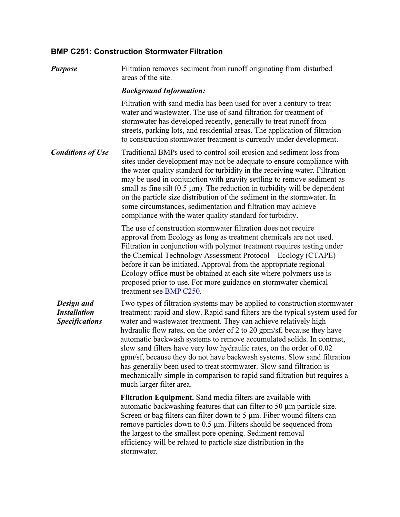# **BMP C251: Construction Stormwater Filtration**

*Purpose* Filtration removes sediment from runoff originating from disturbed areas of the site.

## *Background Information:*

Filtration with sand media has been used for over a century to treat water and wastewater. The use of sand filtration for treatment of stormwater has developed recently, generally to treat runoff from streets, parking lots, and residential areas. The application of filtration to construction stormwater treatment is currently under development.

*Conditions of Use* Traditional BMPs used to control soil erosion and sediment loss from sites under development may not be adequate to ensure compliance with the water quality standard for turbidity in the receiving water. Filtration may be used in conjunction with gravity settling to remove sediment as small as fine silt  $(0.5 \mu m)$ . The reduction in turbidity will be dependent on the particle size distribution of the sediment in the stormwater. In some circumstances, sedimentation and filtration may achieve compliance with the water quality standard for turbidity.

> The use of construction stormwater filtration does not require approval from Ecology as long as treatment chemicals are not used. Filtration in conjunction with polymer treatment requires testing under the Chemical Technology Assessment Protocol – Ecology (CTAPE) before it can be initiated. Approval from the appropriate regional Ecology office must be obtained at each site where polymers use is proposed prior to use. For more guidance on stormwater chemical treatment see BMP C250.

*Design and Installation Specifications*

Two types of filtration systems may be applied to construction stormwater treatment: rapid and slow. Rapid sand filters are the typical system used for water and wastewater treatment. They can achieve relatively high hydraulic flow rates, on the order of 2 to 20 gpm/sf, because they have automatic backwash systems to remove accumulated solids. In contrast, slow sand filters have very low hydraulic rates, on the order of 0.02 gpm/sf, because they do not have backwash systems. Slow sand filtration has generally been used to treat stormwater. Slow sand filtration is mechanically simple in comparison to rapid sand filtration but requires a much larger filter area.

**Filtration Equipment.** Sand media filters are available with automatic backwashing features that can filter to 50 µm particle size. Screen or bag filters can filter down to 5 µm. Fiber wound filters can remove particles down to 0.5 µm. Filters should be sequenced from the largest to the smallest pore opening. Sediment removal efficiency will be related to particle size distribution in the stormwater.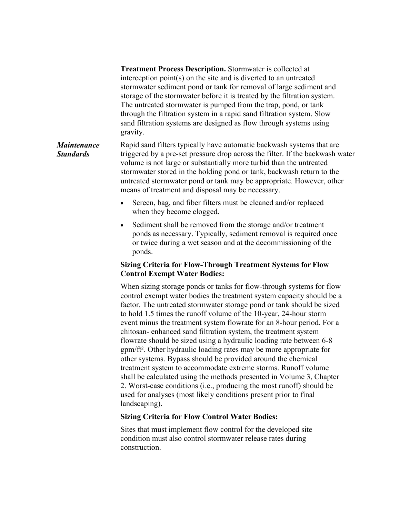**Treatment Process Description.** Stormwater is collected at interception point(s) on the site and is diverted to an untreated stormwater sediment pond or tank for removal of large sediment and storage of the stormwater before it is treated by the filtration system. The untreated stormwater is pumped from the trap, pond, or tank through the filtration system in a rapid sand filtration system. Slow sand filtration systems are designed as flow through systems using gravity.

#### *Maintenance Standards* Rapid sand filters typically have automatic backwash systems that are triggered by a pre-set pressure drop across the filter. If the backwash water volume is not large or substantially more turbid than the untreated stormwater stored in the holding pond or tank, backwash return to the untreated stormwater pond or tank may be appropriate. However, other means of treatment and disposal may be necessary.

- Screen, bag, and fiber filters must be cleaned and/or replaced when they become clogged.
- Sediment shall be removed from the storage and/or treatment ponds as necessary. Typically, sediment removal is required once or twice during a wet season and at the decommissioning of the ponds.

## **Sizing Criteria for Flow-Through Treatment Systems for Flow Control Exempt Water Bodies:**

When sizing storage ponds or tanks for flow-through systems for flow control exempt water bodies the treatment system capacity should be a factor. The untreated stormwater storage pond or tank should be sized to hold 1.5 times the runoff volume of the 10-year, 24-hour storm event minus the treatment system flowrate for an 8-hour period. For a chitosan- enhanced sand filtration system, the treatment system flowrate should be sized using a hydraulic loading rate between 6-8 gpm/ft². Other hydraulic loading rates may be more appropriate for other systems. Bypass should be provided around the chemical treatment system to accommodate extreme storms. Runoff volume shall be calculated using the methods presented in Volume 3, Chapter 2. Worst-case conditions (i.e., producing the most runoff) should be used for analyses (most likely conditions present prior to final landscaping).

### **Sizing Criteria for Flow Control Water Bodies:**

Sites that must implement flow control for the developed site condition must also control stormwater release rates during construction.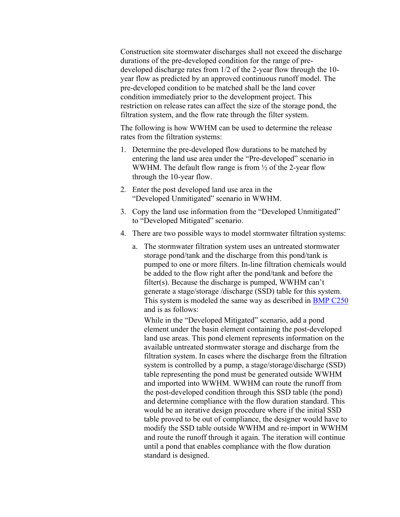Construction site stormwater discharges shall not exceed the discharge durations of the pre-developed condition for the range of predeveloped discharge rates from 1/2 of the 2-year flow through the 10 year flow as predicted by an approved continuous runoff model. The pre-developed condition to be matched shall be the land cover condition immediately prior to the development project. This restriction on release rates can affect the size of the storage pond, the filtration system, and the flow rate through the filter system.

The following is how WWHM can be used to determine the release rates from the filtration systems:

- 1. Determine the pre-developed flow durations to be matched by entering the land use area under the "Pre-developed" scenario in WWHM. The default flow range is from  $\frac{1}{2}$  of the 2-year flow through the 10-year flow.
- 2. Enter the post developed land use area in the "Developed Unmitigated" scenario in WWHM.
- 3. Copy the land use information from the "Developed Unmitigated" to "Developed Mitigated" scenario.
- 4. There are two possible ways to model stormwater filtration systems:
	- a. The stormwater filtration system uses an untreated stormwater storage pond/tank and the discharge from this pond/tank is pumped to one or more filters. In-line filtration chemicals would be added to the flow right after the pond/tank and before the filter(s). Because the discharge is pumped, WWHM can't generate a stage/storage /discharge (SSD) table for this system. This system is modeled the same way as described in **BMP C250** and is as follows:

While in the "Developed Mitigated" scenario, add a pond element under the basin element containing the post-developed land use areas. This pond element represents information on the available untreated stormwater storage and discharge from the filtration system. In cases where the discharge from the filtration system is controlled by a pump, a stage/storage/discharge (SSD) table representing the pond must be generated outside WWHM and imported into WWHM. WWHM can route the runoff from the post-developed condition through this SSD table (the pond) and determine compliance with the flow duration standard. This would be an iterative design procedure where if the initial SSD table proved to be out of compliance, the designer would have to modify the SSD table outside WWHM and re-import in WWHM and route the runoff through it again. The iteration will continue until a pond that enables compliance with the flow duration standard is designed.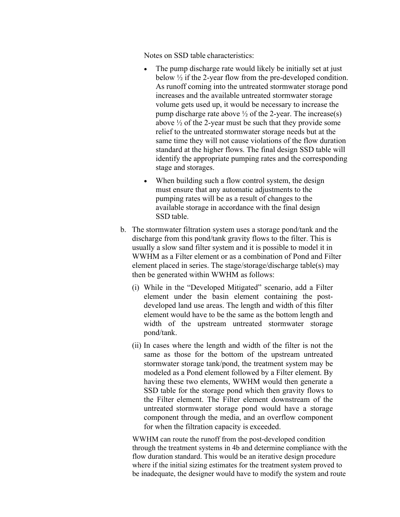Notes on SSD table characteristics:

- The pump discharge rate would likely be initially set at just below ½ if the 2-year flow from the pre-developed condition. As runoff coming into the untreated stormwater storage pond increases and the available untreated stormwater storage volume gets used up, it would be necessary to increase the pump discharge rate above  $\frac{1}{2}$  of the 2-year. The increase(s) above  $\frac{1}{2}$  of the 2-year must be such that they provide some relief to the untreated stormwater storage needs but at the same time they will not cause violations of the flow duration standard at the higher flows. The final design SSD table will identify the appropriate pumping rates and the corresponding stage and storages.
- When building such a flow control system, the design must ensure that any automatic adjustments to the pumping rates will be as a result of changes to the available storage in accordance with the final design SSD table.
- b. The stormwater filtration system uses a storage pond/tank and the discharge from this pond/tank gravity flows to the filter. This is usually a slow sand filter system and it is possible to model it in WWHM as a Filter element or as a combination of Pond and Filter element placed in series. The stage/storage/discharge table(s) may then be generated within WWHM as follows:
	- (i) While in the "Developed Mitigated" scenario, add a Filter element under the basin element containing the postdeveloped land use areas. The length and width of this filter element would have to be the same as the bottom length and width of the upstream untreated stormwater storage pond/tank.
	- (ii) In cases where the length and width of the filter is not the same as those for the bottom of the upstream untreated stormwater storage tank/pond, the treatment system may be modeled as a Pond element followed by a Filter element. By having these two elements, WWHM would then generate a SSD table for the storage pond which then gravity flows to the Filter element. The Filter element downstream of the untreated stormwater storage pond would have a storage component through the media, and an overflow component for when the filtration capacity is exceeded.

WWHM can route the runoff from the post-developed condition through the treatment systems in 4b and determine compliance with the flow duration standard. This would be an iterative design procedure where if the initial sizing estimates for the treatment system proved to be inadequate, the designer would have to modify the system and route